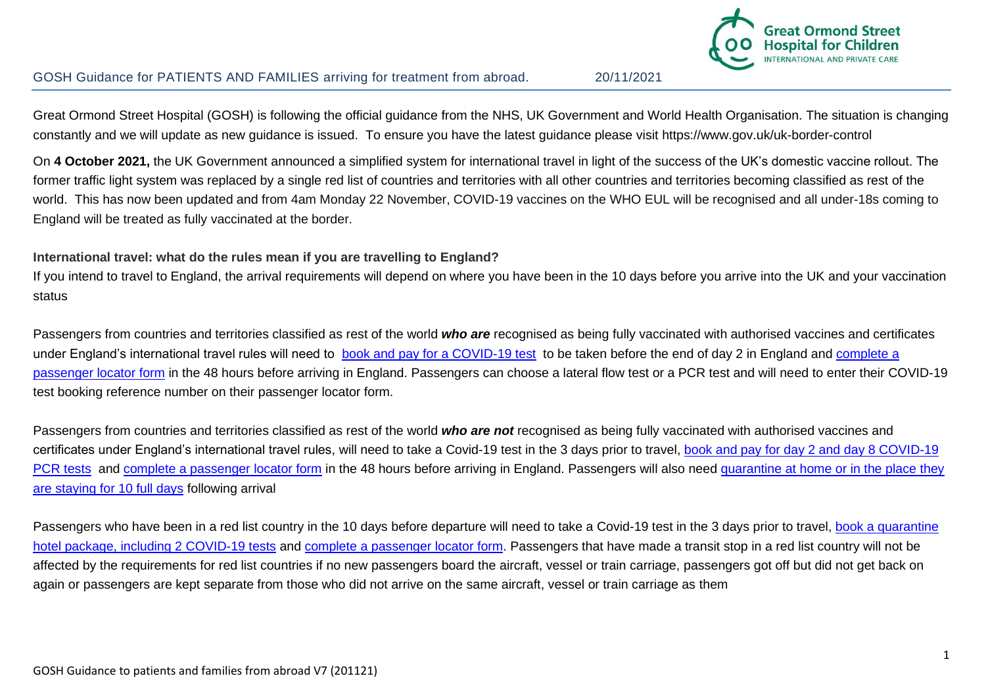

#### l. GOSH Guidance for PATIENTS AND FAMILIES arriving for treatment from abroad. 20/11/2021

Great Ormond Street Hospital (GOSH) is following the official guidance from the NHS, UK Government and World Health Organisation. The situation is changing constantly and we will update as new guidance is issued. To ensure you have the latest guidance please visit https://www.gov.uk/uk-border-control

On **4 October 2021,** the UK Government announced a simplified system for international travel in light of the success of the UK's domestic vaccine rollout. The former traffic light system was replaced by a single red list of countries and territories with all other countries and territories becoming classified as rest of the world. This has now been updated and from 4am Monday 22 November, COVID-19 vaccines on the WHO EUL will be recognised and all under-18s coming to England will be treated as fully vaccinated at the border.

#### **International travel: what do the rules mean if you are travelling to England?**

If you intend to travel to England, the arrival requirements will depend on where you have been in the 10 days before you arrive into the UK and your vaccination status

Passengers from countries and territories classified as rest of the world *who are* recognised as being fully vaccinated with authorised vaccines and certificates under England's international travel rules will need to [book and pay for a COVID-19 test](https://www.gov.uk/find-travel-test-provider) to be taken before the end of day 2 in England and complete a [passenger locator form](https://www.gov.uk/provide-journey-contact-details-before-travel-uk) in the 48 hours before arriving in England. Passengers can choose a lateral flow test or a PCR test and will need to enter their COVID-19 test booking reference number on their passenger locator form.

Passengers from countries and territories classified as rest of the world *who are not* recognised as being fully vaccinated with authorised vaccines and certificates under England's international travel rules, will need to take a [Covid-19 test](https://www.gov.uk/guidance/coronavirus-covid-19-testing-for-people-travelling-to-england) in the 3 days prior to travel, book and pay for day 2 and day 8 COVID-19 [PCR tests](https://www.gov.uk/find-travel-test-provider) and [complete a passenger locator form](https://www.gov.uk/provide-journey-contact-details-before-travel-uk) in the 48 hours before arriving in England. Passengers will also need quarantine at home or in the place they [are staying for 10 full days](https://www.gov.uk/guidance/how-to-quarantine-when-you-arrive-in-england) following arrival

Passengers who have been in a red list country in the 10 days before departure will need to take a [Covid-19 test](https://www.gov.uk/guidance/coronavirus-covid-19-testing-for-people-travelling-to-england) in the 3 days prior to travel, book a quarantine [hotel package, including 2 COVID-19 tests](https://www.gov.uk/guidance/booking-and-staying-in-a-quarantine-hotel-when-you-arrive-in-england) and [complete a passenger locator form.](https://www.gov.uk/provide-journey-contact-details-before-travel-uk) Passengers that have made a transit stop in a red list country will not be affected by the requirements for red list countries if no new passengers board the aircraft, vessel or train carriage, passengers got off but did not get back on again or passengers are kept separate from those who did not arrive on the same aircraft, vessel or train carriage as them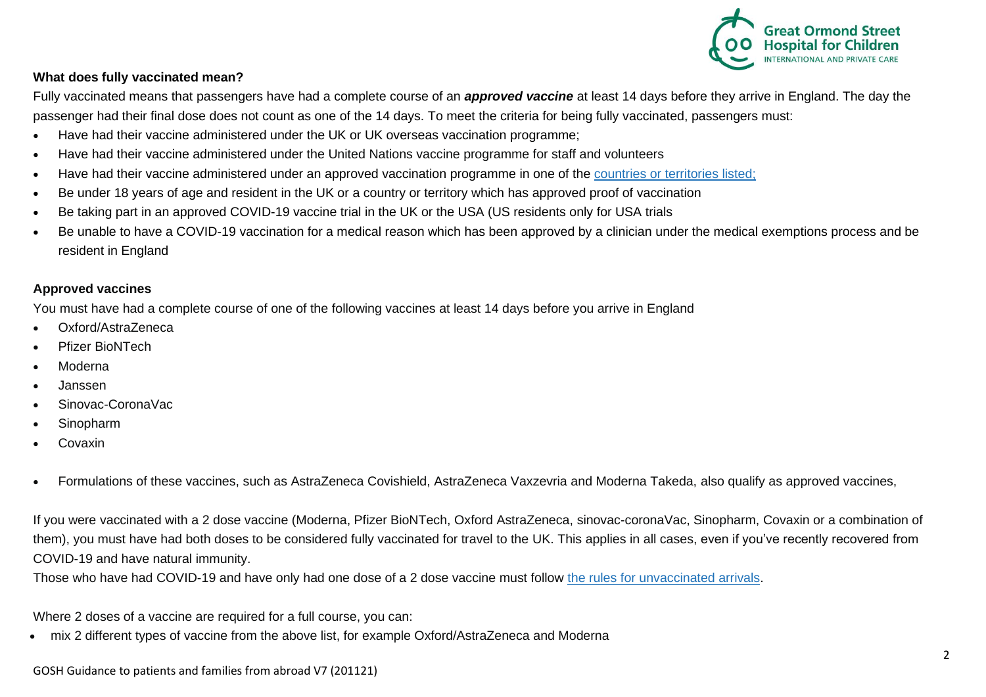

#### $\overline{a}$ **What does fully vaccinated mean?**

Fully vaccinated means that passengers have had a complete course of an *approved vaccine* at least 14 days before they arrive in England. The day the passenger had their final dose does not count as one of the 14 days. To meet the criteria for being fully vaccinated, passengers must:

- Have had their vaccine administered under the UK or UK overseas vaccination programme;
- Have had their vaccine administered under the United Nations vaccine programme for staff and volunteers
- Have had their vaccine administered under an approved vaccination programme in one of the [countries or territories listed;](https://www.gov.uk/guidance/countries-with-approved-covid-19-vaccination-programmes-and-proof-of-vaccination#countries-with-an-approved-proof-of-vaccination-and-examples-of-proof-required)
- Be under 18 years of age and resident in the UK or a country or territory which has approved proof of vaccination
- Be taking part in an approved COVID-19 vaccine trial in the UK or the USA (US residents only for USA trials
- Be unable to have a COVID-19 vaccination for a medical reason which has been approved by a clinician under the medical exemptions process and be resident in England

### **Approved vaccines**

You must have had a complete course of one of the following vaccines at least 14 days before you arrive in England

- Oxford/AstraZeneca
- Pfizer BioNTech
- Moderna
- Janssen
- Sinovac-CoronaVac
- **Sinopharm**
- **Covaxin**
- Formulations of these vaccines, such as AstraZeneca Covishield, AstraZeneca Vaxzevria and Moderna Takeda, also qualify as approved vaccines,

If you were vaccinated with a 2 dose vaccine (Moderna, Pfizer BioNTech, Oxford AstraZeneca, sinovac-coronaVac, Sinopharm, Covaxin or a combination of them), you must have had both doses to be considered fully vaccinated for travel to the UK. This applies in all cases, even if you've recently recovered from COVID-19 and have natural immunity.

Those who have had COVID-19 and have only had one dose of a 2 dose vaccine must follow [the rules for unvaccinated arrivals.](https://www.gov.uk/guidance/travel-to-england-from-another-country-during-coronavirus-covid-19#if-you-are-not-fully-vaccinated)

Where 2 doses of a vaccine are required for a full course, you can:

• mix 2 different types of vaccine from the above list, for example Oxford/AstraZeneca and Moderna

GOSH Guidance to patients and families from abroad V7 (201121)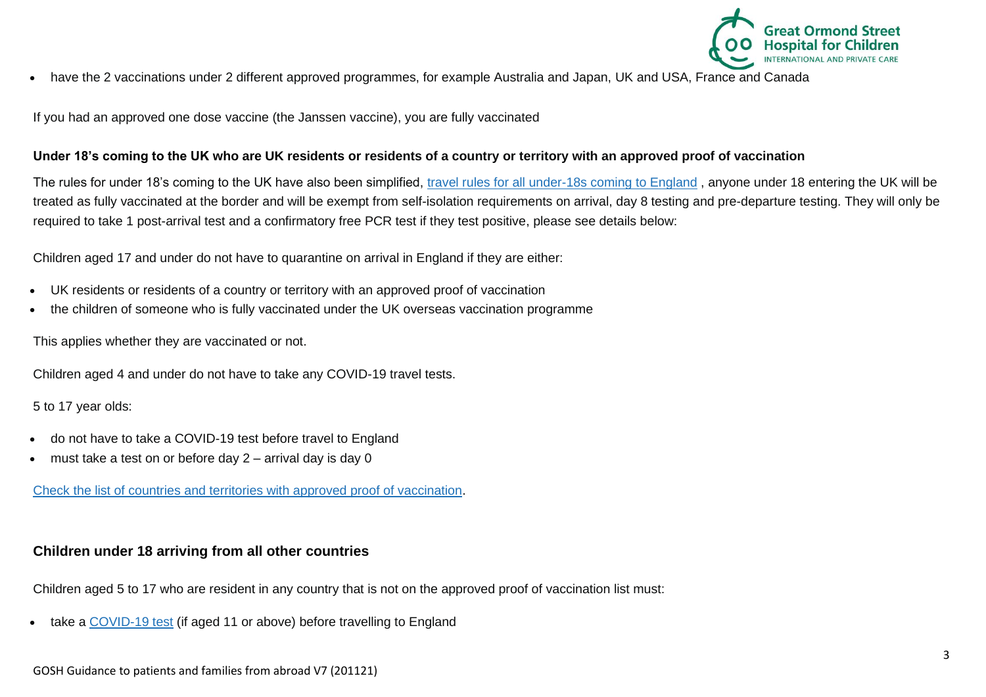

• have the 2 vaccinations under 2 different approved programmes, for example Australia and Japan, UK and USA, France and Canada

If you had an approved one dose vaccine (the Janssen vaccine), you are fully vaccinated

### **Under 18's coming to the UK who are UK residents or residents of a country or territory with an approved proof of vaccination**

The rules for under 18's coming to the UK have also been simplified, [travel rules for all under-18s coming to England](https://www.gov.uk/guidance/travel-to-england-from-another-country-during-coronavirus-covid-19#travelling-with-children) , anyone under 18 entering the UK will be treated as fully vaccinated at the border and will be exempt from self-isolation requirements on arrival, day 8 testing and pre-departure testing. They will only be required to take 1 post-arrival test and a confirmatory free PCR test if they test positive, please see details below:

Children aged 17 and under do not have to quarantine on arrival in England if they are either:

- UK residents or residents of a country or territory with an approved proof of vaccination
- the children of someone who is fully vaccinated under the UK overseas vaccination programme

This applies whether they are vaccinated or not.

Children aged 4 and under do not have to take any COVID-19 travel tests.

5 to 17 year olds:

- do not have to take a COVID-19 test before travel to England
- must take a test on or before day  $2$  arrival day is day 0

[Check the list of countries and territories with approved proof of vaccination.](https://www.gov.uk/guidance/countries-with-approved-covid-19-vaccination-programmes-and-proof-of-vaccination)

# **Children under 18 arriving from all other countries**

Children aged 5 to 17 who are resident in any country that is not on the approved proof of vaccination list must:

take a [COVID-19 test](https://www.gov.uk/guidance/coronavirus-covid-19-testing-for-people-travelling-to-england) (if aged 11 or above) before travelling to England